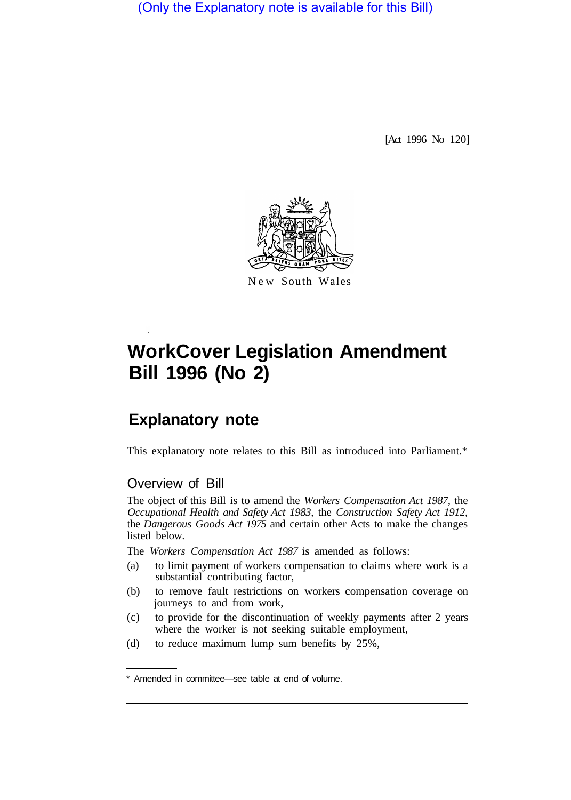(Only the Explanatory note is available for this Bill)

[Act 1996 No 120]



# **WorkCover Legislation Amendment Bill 1996 (No 2)**

## **Explanatory note**

This explanatory note relates to this Bill as introduced into Parliament.\*

## Overview of Bill

The object of this Bill is to amend the *Workers Compensation Act 1987,* the *Occupational Health and Safety Act 1983,* the *Construction Safety Act 1912,*  the *Dangerous Goods Act 1975* and certain other Acts to make the changes listed below.

The *Workers Compensation Act 1987* is amended as follows:

- (a) to limit payment of workers compensation to claims where work is a substantial contributing factor,
- (b) to remove fault restrictions on workers compensation coverage on journeys to and from work,
- (c) to provide for the discontinuation of weekly payments after 2 years where the worker is not seeking suitable employment,
- (d) to reduce maximum lump sum benefits by 25%,

<sup>\*</sup> Amended in committee—see table at end of volume.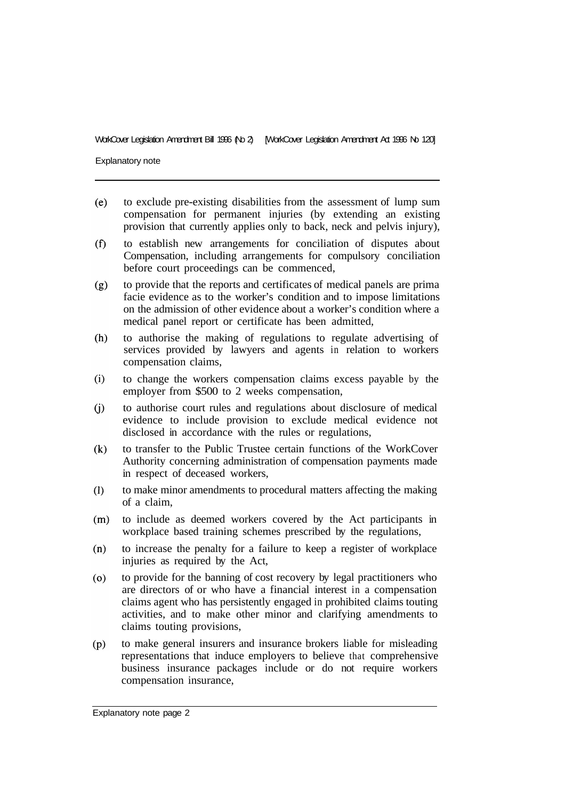Explanatory note

- $(e)$ to exclude pre-existing disabilities from the assessment of lump sum compensation for permanent injuries (by extending an existing provision that currently applies only to back, neck and pelvis injury),
- to establish new arrangements for conciliation of disputes about  $(f)$ Compensation, including arrangements for compulsory conciliation before court proceedings can be commenced,
- to provide that the reports and certificates of medical panels are prima  $(g)$ facie evidence as to the worker's condition and to impose limitations on the admission of other evidence about a worker's condition where a medical panel report or certificate has been admitted,
- to authorise the making of regulations to regulate advertising of  $(h)$ services provided by lawyers and agents in relation to workers compensation claims,
- $(i)$ to change the workers compensation claims excess payable by the employer from \$500 to 2 weeks compensation,
- to authorise court rules and regulations about disclosure of medical  $(i)$ evidence to include provision to exclude medical evidence not disclosed in accordance with the rules or regulations,
- $(k)$ to transfer to the Public Trustee certain functions of the WorkCover Authority concerning administration of compensation payments made in respect of deceased workers,
- $(1)$ to make minor amendments to procedural matters affecting the making of a claim,
- to include as deemed workers covered by the Act participants in  $(m)$ workplace based training schemes prescribed by the regulations,
- $(n)$ to increase the penalty for a failure to keep a register of workplace injuries as required by the Act,
- to provide for the banning of cost recovery by legal practitioners who  $(0)$ are directors of or who have a financial interest in a compensation claims agent who has persistently engaged in prohibited claims touting activities, and to make other minor and clarifying amendments to claims touting provisions,
- to make general insurers and insurance brokers liable for misleading  $(p)$ representations that induce employers to believe that comprehensive business insurance packages include or do not require workers compensation insurance,

Explanatory note page 2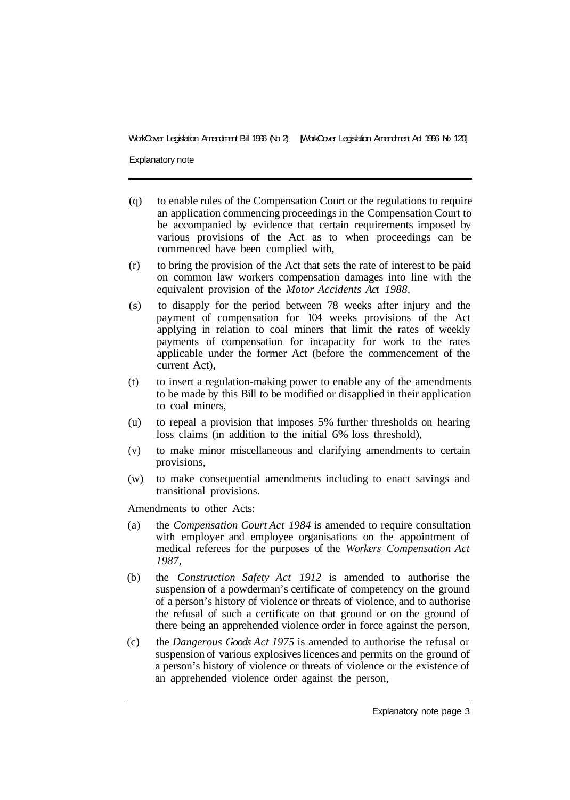Explanatory note

- (q) to enable rules of the Compensation Court or the regulations to require an application commencing proceedings in the Compensation Court to be accompanied by evidence that certain requirements imposed by various provisions of the Act as to when proceedings can be commenced have been complied with,
- (r) to bring the provision of the Act that sets the rate of interest to be paid on common law workers compensation damages into line with the equivalent provision of the *Motor Accidents Act 1988,*
- (s) to disapply for the period between 78 weeks after injury and the payment of compensation for 104 weeks provisions of the Act applying in relation to coal miners that limit the rates of weekly payments of compensation for incapacity for work to the rates applicable under the former Act (before the commencement of the current Act),
- (t) to insert a regulation-making power to enable any of the amendments to be made by this Bill to be modified or disapplied in their application to coal miners,
- (u) to repeal a provision that imposes 5% further thresholds on hearing loss claims (in addition to the initial 6% loss threshold),
- (v) to make minor miscellaneous and clarifying amendments to certain provisions,
- (w) to make consequential amendments including to enact savings and transitional provisions.

Amendments to other Acts:

- (a) the *Compensation Court Act 1984* is amended to require consultation with employer and employee organisations on the appointment of medical referees for the purposes of the *Workers Compensation Act 1987,*
- (b) the *Construction Safety Act 1912* is amended to authorise the suspension of a powderman's certificate of competency on the ground of a person's history of violence or threats of violence, and to authorise the refusal of such a certificate on that ground or on the ground of there being an apprehended violence order in force against the person,
- (c) the *Dangerous Goods Act 1975* is amended to authorise the refusal or suspension of various explosives licences and permits on the ground of a person's history of violence or threats of violence or the existence of an apprehended violence order against the person,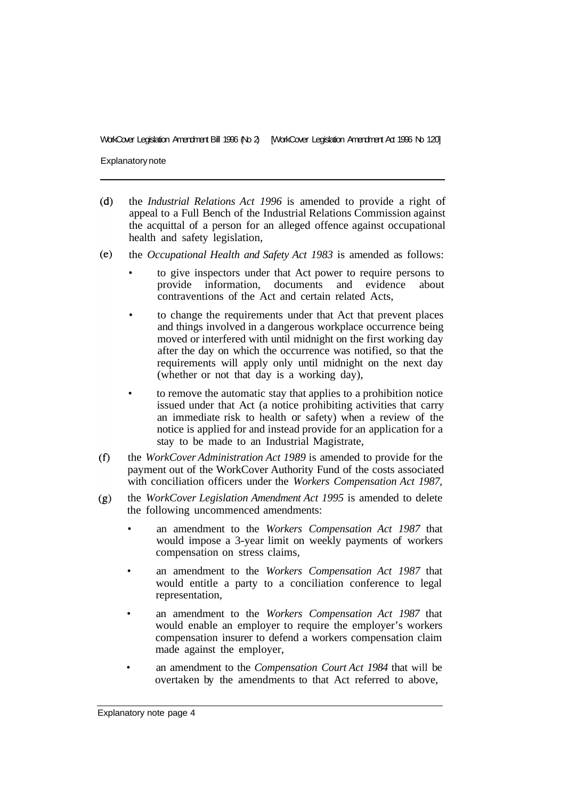Explanatory note

- $(d)$ the *Industrial Relations Act 1996* is amended to provide a right of appeal to a Full Bench of the Industrial Relations Commission against the acquittal of a person for an alleged offence against occupational health and safety legislation,
- $(e)$ the *Occupational Health and Safety Act 1983* is amended as follows:
	- to give inspectors under that Act power to require persons to provide information, documents and evidence about contraventions of the Act and certain related Acts,
	- to change the requirements under that Act that prevent places and things involved in a dangerous workplace occurrence being moved or interfered with until midnight on the first working day after the day on which the occurrence was notified, so that the requirements will apply only until midnight on the next day (whether or not that day is a working day),
	- to remove the automatic stay that applies to a prohibition notice issued under that Act (a notice prohibiting activities that carry an immediate risk to health or safety) when a review of the notice is applied for and instead provide for an application for a stay to be made to an Industrial Magistrate,
- $(f)$ the *WorkCover Administration Act 1989* is amended to provide for the payment out of the WorkCover Authority Fund of the costs associated with conciliation officers under the *Workers Compensation Act 1987,*
- the *WorkCover Legislation Amendment Act 1995* is amended to delete  $(g)$ the following uncommenced amendments:
	- an amendment to the *Workers Compensation Act 1987* that would impose a 3-year limit on weekly payments of workers compensation on stress claims,
	- an amendment to the *Workers Compensation Act 1987* that would entitle a party to a conciliation conference to legal representation,
	- an amendment to the *Workers Compensation Act 1987* that would enable an employer to require the employer's workers compensation insurer to defend a workers compensation claim made against the employer,
	- an amendment to the *Compensation Court Act 1984* that will be overtaken by the amendments to that Act referred to above,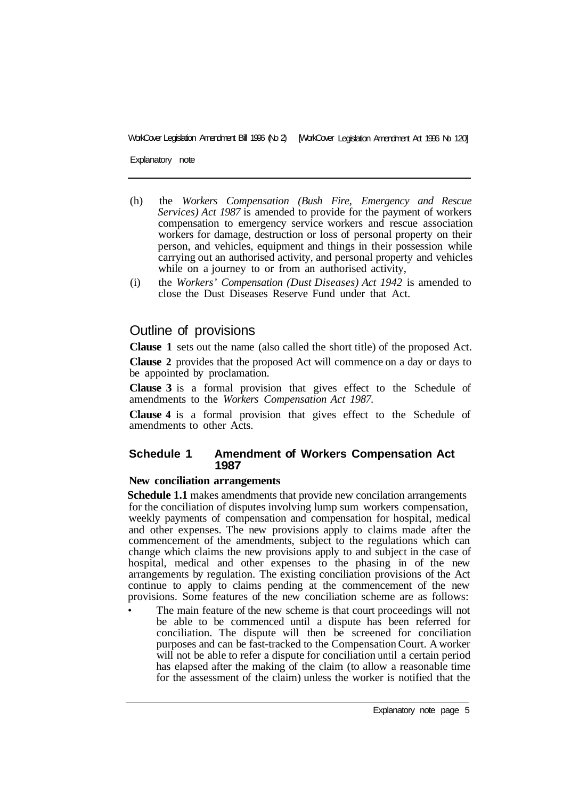Explanatory note

- (h) the *Workers Compensation (Bush Fire, Emergency and Rescue Services) Act 1987* is amended to provide for the payment of workers compensation to emergency service workers and rescue association workers for damage, destruction or loss of personal property on their person, and vehicles, equipment and things in their possession while carrying out an authorised activity, and personal property and vehicles while on a journey to or from an authorised activity,
- (i) the *Workers' Compensation (Dust Diseases) Act 1942* is amended to close the Dust Diseases Reserve Fund under that Act.

## Outline of provisions

**Clause 1** sets out the name (also called the short title) of the proposed Act.

**Clause 2** provides that the proposed Act will commence on a day or days to be appointed by proclamation.

**Clause 3** is a formal provision that gives effect to the Schedule of amendments to the *Workers Compensation Act 1987.* 

**Clause 4** is a formal provision that gives effect to the Schedule of amendments to other Acts.

## **Schedule 1 Amendment of Workers Compensation Act 1987**

#### **New conciliation arrangements**

**Schedule 1.1** makes amendments that provide new concilation arrangements for the conciliation of disputes involving lump sum workers compensation, weekly payments of compensation and compensation for hospital, medical and other expenses. The new provisions apply to claims made after the commencement of the amendments, subject to the regulations which can change which claims the new provisions apply to and subject in the case of hospital, medical and other expenses to the phasing in of the new arrangements by regulation. The existing conciliation provisions of the Act continue to apply to claims pending at the commencement of the new provisions. Some features of the new conciliation scheme are as follows:

The main feature of the new scheme is that court proceedings will not be able to be commenced until a dispute has been referred for conciliation. The dispute will then be screened for conciliation purposes and can be fast-tracked to the Compensation Court. A worker will not be able to refer a dispute for conciliation until a certain period has elapsed after the making of the claim (to allow a reasonable time for the assessment of the claim) unless the worker is notified that the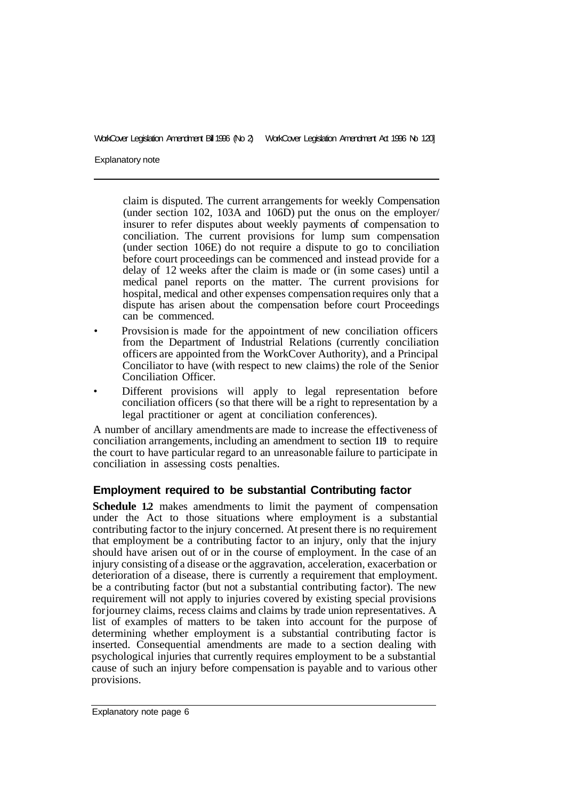Explanatory note

claim is disputed. The current arrangements for weekly Compensation (under section 102, 103A and 106D) put the onus on the employer/ insurer to refer disputes about weekly payments of compensation to conciliation. The current provisions for lump sum compensation (under section 106E) do not require a dispute to go to conciliation before court proceedings can be commenced and instead provide for a delay of 12 weeks after the claim is made or (in some cases) until a medical panel reports on the matter. The current provisions for hospital, medical and other expenses compensation requires only that a dispute has arisen about the compensation before court Proceedings can be commenced.

- Provsision is made for the appointment of new conciliation officers from the Department of Industrial Relations (currently conciliation officers are appointed from the WorkCover Authority), and a Principal Conciliator to have (with respect to new claims) the role of the Senior Conciliation Officer.
- Different provisions will apply to legal representation before conciliation officers (so that there will be a right to representation by a legal practitioner or agent at conciliation conferences).

A number of ancillary amendments are made to increase the effectiveness of conciliation arrangements, including an amendment to section **119** to require the court to have particular regard to an unreasonable failure to participate in conciliation in assessing costs penalties.

## **Employment required to be substantial Contributing factor**

**Schedule 1.2** makes amendments to limit the payment of compensation under the Act to those situations where employment is a substantial contributing factor to the injury concerned. At present there is no requirement that employment be a contributing factor to an injury, only that the injury should have arisen out of or in the course of employment. In the case of an injury consisting of a disease or the aggravation, acceleration, exacerbation or deterioration of a disease, there is currently a requirement that employment. be a contributing factor (but not a substantial contributing factor). The new requirement will not apply to injuries covered by existing special provisions for journey claims, recess claims and claims by trade union representatives. A list of examples of matters to be taken into account for the purpose of determining whether employment is a substantial contributing factor is inserted. Consequential amendments are made to a section dealing with psychological injuries that currently requires employment to be a substantial cause of such an injury before compensation is payable and to various other provisions.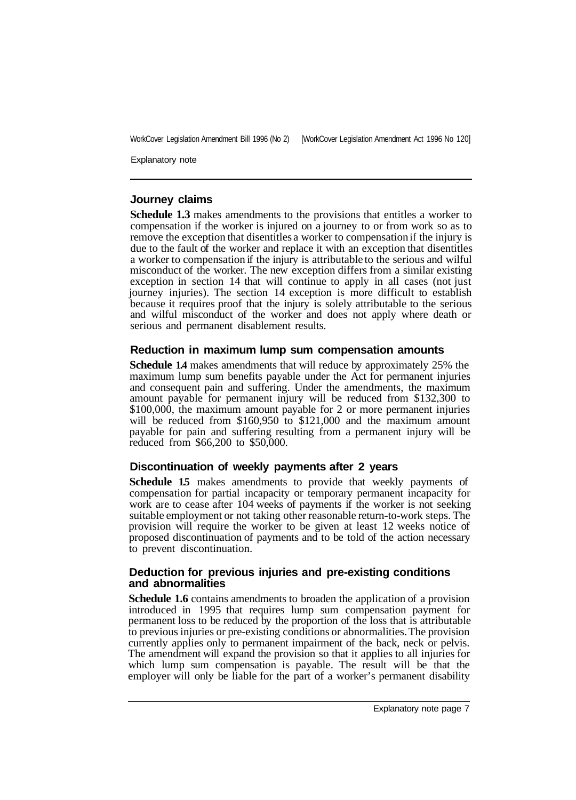Explanatory note

## **Journey claims**

**Schedule 1.3** makes amendments to the provisions that entitles a worker to compensation if the worker is injured on a journey to or from work so as to remove the exception that disentitles a worker to compensation if the injury is due to the fault of the worker and replace it with an exception that disentitles a worker to compensation if the injury is attributable to the serious and wilful misconduct of the worker. The new exception differs from a similar existing exception in section 14 that will continue to apply in all cases (not just journey injuries). The section 14 exception is more difficult to establish because it requires proof that the injury is solely attributable to the serious and wilful misconduct of the worker and does not apply where death or serious and permanent disablement results.

#### **Reduction in maximum lump sum compensation amounts**

**Schedule 1.4** makes amendments that will reduce by approximately 25% the maximum lump sum benefits payable under the Act for permanent injuries and consequent pain and suffering. Under the amendments, the maximum amount payable for permanent injury will be reduced from \$132,300 to \$100,000, the maximum amount payable for 2 or more permanent injuries will be reduced from \$160,950 to \$121,000 and the maximum amount payable for pain and suffering resulting from a permanent injury will be reduced from \$66,200 to \$50,000.

## **Discontinuation of weekly payments after 2 years**

**Schedule 1.5** makes amendments to provide that weekly payments of compensation for partial incapacity or temporary permanent incapacity for work are to cease after 104 weeks of payments if the worker is not seeking suitable employment or not taking other reasonable return-to-work steps. The provision will require the worker to be given at least 12 weeks notice of proposed discontinuation of payments and to be told of the action necessary to prevent discontinuation.

#### **Deduction for previous injuries and pre-existing conditions and abnormalities**

**Schedule 1.6** contains amendments to broaden the application of a provision introduced in 1995 that requires lump sum compensation payment for permanent loss to be reduced by the proportion of the loss that is attributable to previous injuries or pre-existing conditions or abnormalities. The provision currently applies only to permanent impairment of the back, neck or pelvis. The amendment will expand the provision so that it applies to all injuries for which lump sum compensation is payable. The result will be that the employer will only be liable for the part of a worker's permanent disability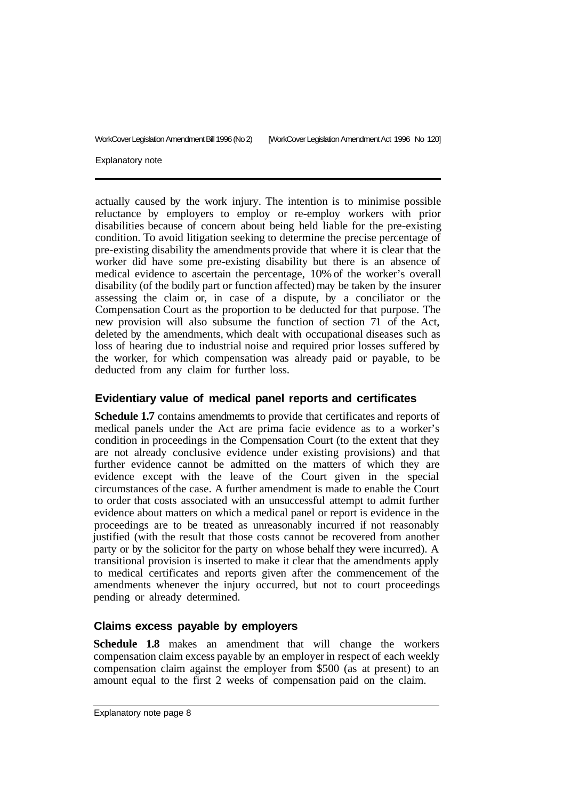#### Explanatory note

actually caused by the work injury. The intention is to minimise possible reluctance by employers to employ or re-employ workers with prior disabilities because of concern about being held liable for the pre-existing condition. To avoid litigation seeking to determine the precise percentage of pre-existing disability the amendments provide that where it is clear that the worker did have some pre-existing disability but there is an absence of medical evidence to ascertain the percentage, 10% of the worker's overall disability (of the bodily part or function affected) may be taken by the insurer assessing the claim or, in case of a dispute, by a conciliator or the Compensation Court as the proportion to be deducted for that purpose. The new provision will also subsume the function of section 71 of the Act, deleted by the amendments, which dealt with occupational diseases such as loss of hearing due to industrial noise and required prior losses suffered by the worker, for which compensation was already paid or payable, to be deducted from any claim for further loss.

#### **Evidentiary value of medical panel reports and certificates**

**Schedule 1.7** contains amendmemts to provide that certificates and reports of medical panels under the Act are prima facie evidence as to a worker's condition in proceedings in the Compensation Court (to the extent that they are not already conclusive evidence under existing provisions) and that further evidence cannot be admitted on the matters of which they are evidence except with the leave of the Court given in the special circumstances of the case. A further amendment is made to enable the Court to order that costs associated with an unsuccessful attempt to admit further evidence about matters on which a medical panel or report is evidence in the proceedings are to be treated as unreasonably incurred if not reasonably justified (with the result that those costs cannot be recovered from another party or by the solicitor for the party on whose behalf they were incurred). A transitional provision is inserted to make it clear that the amendments apply to medical certificates and reports given after the commencement of the amendments whenever the injury occurred, but not to court proceedings pending or already determined.

#### **Claims excess payable by employers**

**Schedule 1.8** makes an amendment that will change the workers compensation claim excess payable by an employer in respect of each weekly compensation claim against the employer from \$500 (as at present) to an amount equal to the first 2 weeks of compensation paid on the claim.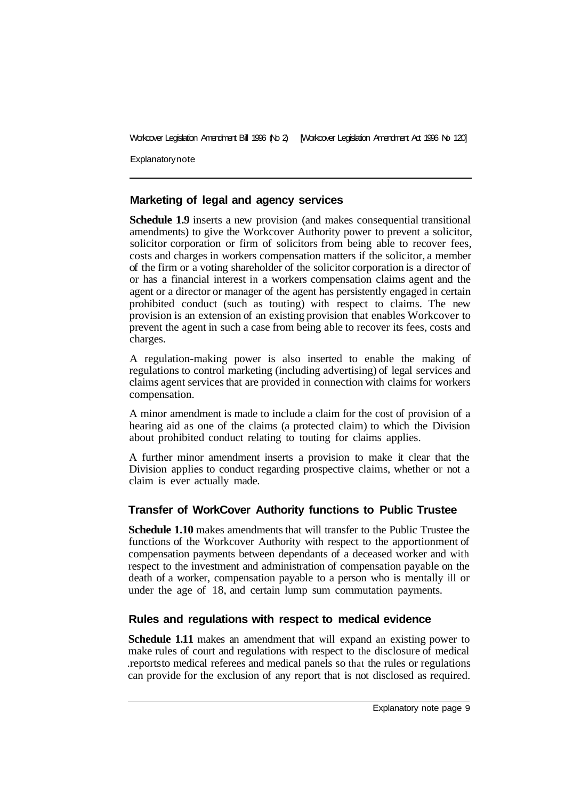Explanatory note

#### **Marketing of legal and agency services**

**Schedule 1.9** inserts a new provision (and makes consequential transitional amendments) to give the Workcover Authority power to prevent a solicitor, solicitor corporation or firm of solicitors from being able to recover fees, costs and charges in workers compensation matters if the solicitor, a member of the firm or a voting shareholder of the solicitor corporation is a director of or has a financial interest in a workers compensation claims agent and the agent or a director or manager of the agent has persistently engaged in certain prohibited conduct (such as touting) with respect to claims. The new provision is an extension of an existing provision that enables Workcover to prevent the agent in such a case from being able to recover its fees, costs and charges.

A regulation-making power is also inserted to enable the making of regulations to control marketing (including advertising) of legal services and claims agent services that are provided in connection with claims for workers compensation.

A minor amendment is made to include a claim for the cost of provision of a hearing aid as one of the claims (a protected claim) to which the Division about prohibited conduct relating to touting for claims applies.

A further minor amendment inserts a provision to make it clear that the Division applies to conduct regarding prospective claims, whether or not a claim is ever actually made.

## **Transfer of WorkCover Authority functions to Public Trustee**

**Schedule 1.10** makes amendments that will transfer to the Public Trustee the functions of the Workcover Authority with respect to the apportionment of compensation payments between dependants of a deceased worker and with respect to the investment and administration of compensation payable on the death of a worker, compensation payable to a person who is mentally ill or under the age of 18, and certain lump sum commutation payments.

## **Rules and regulations with respect to medical evidence**

**Schedule 1.11** makes an amendment that will expand an existing power to make rules of court and regulations with respect to the disclosure of medical .reports to medical referees and medical panels so that the rules or regulations can provide for the exclusion of any report that is not disclosed as required.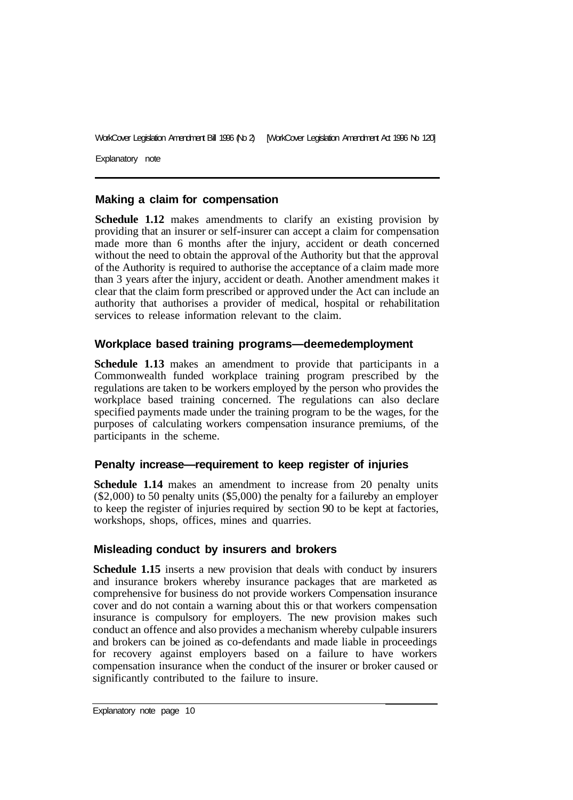Explanatory note

#### **Making a claim for compensation**

**Schedule 1.12** makes amendments to clarify an existing provision by providing that an insurer or self-insurer can accept a claim for compensation made more than 6 months after the injury, accident or death concerned without the need to obtain the approval of the Authority but that the approval of the Authority is required to authorise the acceptance of a claim made more than 3 years after the injury, accident or death. Another amendment makes it clear that the claim form prescribed or approved under the Act can include an authority that authorises a provider of medical, hospital or rehabilitation services to release information relevant to the claim

#### **Workplace based training programs—deemed employment**

**Schedule 1.13** makes an amendment to provide that participants in a Commonwealth funded workplace training program prescribed by the regulations are taken to be workers employed by the person who provides the workplace based training concerned. The regulations can also declare specified payments made under the training program to be the wages, for the purposes of calculating workers compensation insurance premiums, of the participants in the scheme.

## **Penalty increase—requirement to keep register of injuries**

**Schedule 1.14** makes an amendment to increase from 20 penalty units  $(\$2,000)$  to 50 penalty units  $(\$5,000)$  the penalty for a failure by an employer to keep the register of injuries required by section 90 to be kept at factories, workshops, shops, offices, mines and quarries.

## **Misleading conduct by insurers and brokers**

**Schedule 1.15** inserts a new provision that deals with conduct by insurers and insurance brokers whereby insurance packages that are marketed as comprehensive for business do not provide workers Compensation insurance cover and do not contain a warning about this or that workers compensation insurance is compulsory for employers. The new provision makes such conduct an offence and also provides a mechanism whereby culpable insurers and brokers can be joined as co-defendants and made liable in proceedings for recovery against employers based on a failure to have workers compensation insurance when the conduct of the insurer or broker caused or significantly contributed to the failure to insure.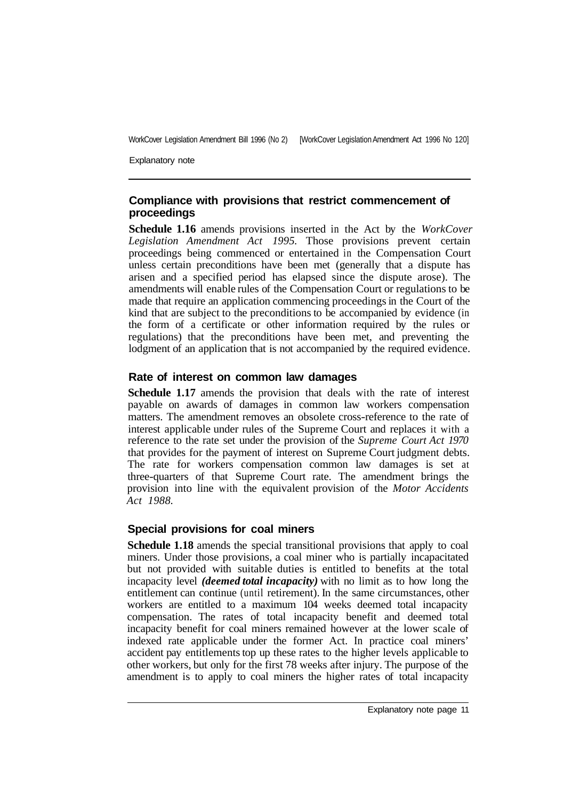Explanatory note

## **Compliance with provisions that restrict commencement of proceedings**

**Schedule 1.16** amends provisions inserted in the Act by the *WorkCover Legislation Amendment Act 1995.* Those provisions prevent certain proceedings being commenced or entertained in the Compensation Court unless certain preconditions have been met (generally that a dispute has arisen and a specified period has elapsed since the dispute arose). The amendments will enable rules of the Compensation Court or regulations to be made that require an application commencing proceedings in the Court of the kind that are subject to the preconditions to be accompanied by evidence (in the form of a certificate or other information required by the rules or regulations) that the preconditions have been met, and preventing the lodgment of an application that is not accompanied by the required evidence.

#### **Rate of interest on common law damages**

**Schedule 1.17** amends the provision that deals with the rate of interest payable on awards of damages in common law workers compensation matters. The amendment removes an obsolete cross-reference to the rate of interest applicable under rules of the Supreme Court and replaces it with a reference to the rate set under the provision of the *Supreme Court Act 1970*  that provides for the payment of interest on Supreme Court judgment debts. The rate for workers compensation common law damages is set at three-quarters of that Supreme Court rate. The amendment brings the provision into line with the equivalent provision of the *Motor Accidents Act 1988.* 

#### **Special provisions for coal miners**

**Schedule 1.18** amends the special transitional provisions that apply to coal miners. Under those provisions, a coal miner who is partially incapacitated but not provided with suitable duties is entitled to benefits at the total incapacity level *(deemed total incapacity)* with no limit as to how long the entitlement can continue (until retirement). In the same circumstances, other workers are entitled to a maximum 104 weeks deemed total incapacity compensation. The rates of total incapacity benefit and deemed total incapacity benefit for coal miners remained however at the lower scale of indexed rate applicable under the former Act. In practice coal miners' accident pay entitlements top up these rates to the higher levels applicable to other workers, but only for the first 78 weeks after injury. The purpose of the amendment is to apply to coal miners the higher rates of total incapacity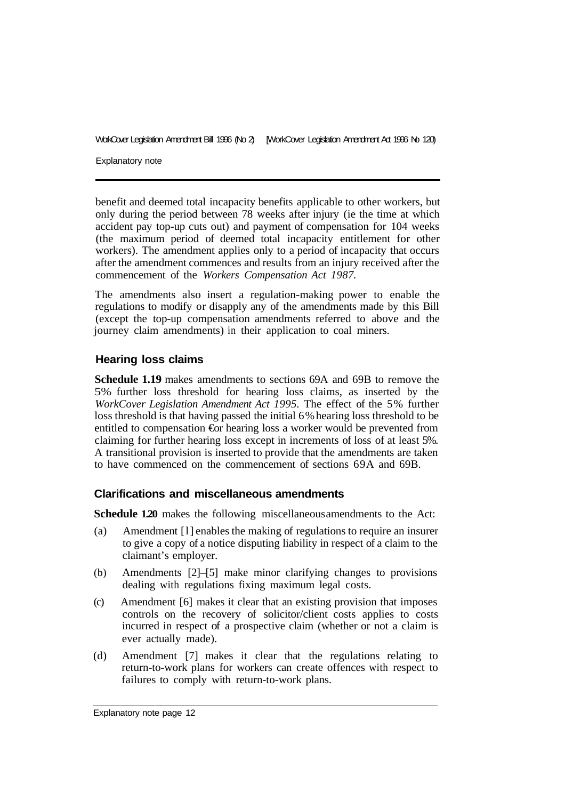Explanatory note

benefit and deemed total incapacity benefits applicable to other workers, but only during the period between 78 weeks after injury (ie the time at which accident pay top-up cuts out) and payment of compensation for 104 weeks (the maximum period of deemed total incapacity entitlement for other workers). The amendment applies only to a period of incapacity that occurs after the amendment commences and results from an injury received after the commencement of the *Workers Compensation Act 1987.* 

The amendments also insert a regulation-making power to enable the regulations to modify or disapply any of the amendments made by this Bill (except the top-up compensation amendments referred to above and the journey claim amendments) in their application to coal miners.

#### **Hearing loss claims**

**Schedule 1.19** makes amendments to sections 69A and 69B to remove the 5% further loss threshold for hearing loss claims, as inserted by the *WorkCover Legislation Amendment Act 1995.* The effect of the 5% further loss threshold is that having passed the initial 6% hearing loss threshold to be entitled to compensation €or hearing loss a worker would be prevented from claiming for further hearing loss except in increments of loss of at least 5%. A transitional provision is inserted to provide that the amendments are taken to have commenced on the commencement of sections 69A and 69B.

#### **Clarifications and miscellaneous amendments**

**Schedule 1.20** makes the following miscellaneous amendments to the Act:

- (a) Amendment [l] enables the making of regulations to require an insurer to give a copy of a notice disputing liability in respect of a claim to the claimant's employer.
- (b) Amendments [2]–[5] make minor clarifying changes to provisions dealing with regulations fixing maximum legal costs.
- (c) Amendment [6] makes it clear that an existing provision that imposes controls on the recovery of solicitor/client costs applies to costs incurred in respect of a prospective claim (whether or not a claim is ever actually made).
- (d) Amendment [7] makes it clear that the regulations relating to return-to-work plans for workers can create offences with respect to failures to comply with return-to-work plans.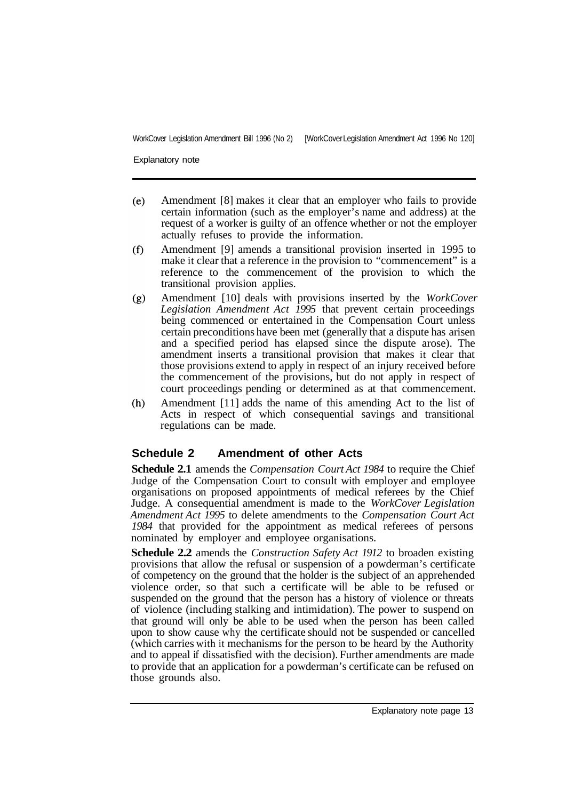Explanatory note

- Amendment [8] makes it clear that an employer who fails to provide  $(e)$ certain information (such as the employer's name and address) at the request of a worker is guilty of an offence whether or not the employer actually refuses to provide the information.
- Amendment [9] amends a transitional provision inserted in 1995 to  $(f)$ make it clear that a reference in the provision to "commencement" is a reference to the commencement of the provision to which the transitional provision applies.
- Amendment [10] deals with provisions inserted by the *WorkCover*   $(g)$ *Legislation Amendment Act 1995* that prevent certain proceedings being commenced or entertained in the Compensation Court unless certain preconditions have been met (generally that a dispute has arisen and a specified period has elapsed since the dispute arose). The amendment inserts a transitional provision that makes it clear that those provisions extend to apply in respect of an injury received before the commencement of the provisions, but do not apply in respect of court proceedings pending or determined as at that commencement.
- $(h)$ Amendment [11] adds the name of this amending Act to the list of Acts in respect of which consequential savings and transitional regulations can be made.

## **Schedule 2 Amendment of other Acts**

**Schedule 2.1** amends the *Compensation Court Act 1984* to require the Chief Judge of the Compensation Court to consult with employer and employee organisations on proposed appointments of medical referees by the Chief Judge. A consequential amendment is made to the *WorkCover Legislation Amendment Act 1995* to delete amendments to the *Compensation Court Act 1984* that provided for the appointment as medical referees of persons nominated by employer and employee organisations.

**Schedule 2.2** amends the *Construction Safety Act 1912* to broaden existing provisions that allow the refusal or suspension of a powderman's certificate of competency on the ground that the holder is the subject of an apprehended violence order, so that such a certificate will be able to be refused or suspended on the ground that the person has a history of violence or threats of violence (including stalking and intimidation). The power to suspend on that ground will only be able to be used when the person has been called upon to show cause why the certificate should not be suspended or cancelled (which carries with it mechanisms for the person to be heard by the Authority and to appeal if dissatisfied with the decision). Further amendments are made to provide that an application for a powderman's certificate can be refused on those grounds also.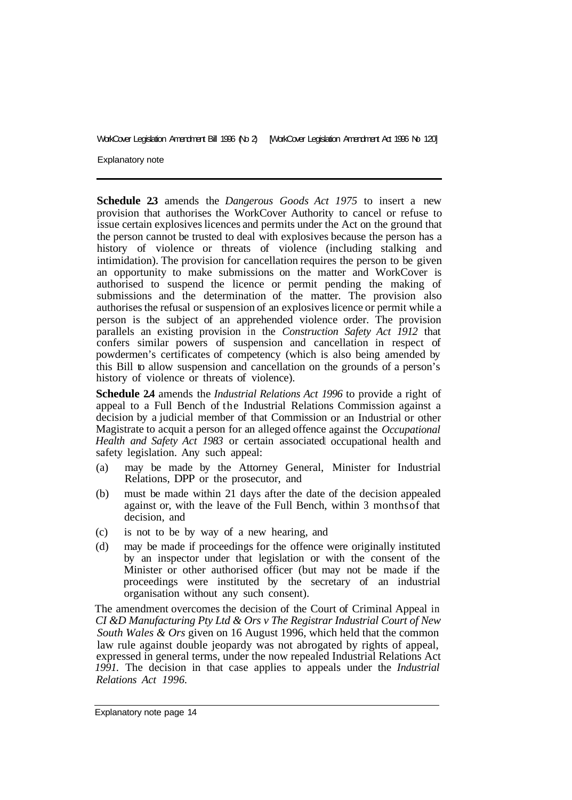Explanatory note

**Schedule 2.3** amends the *Dangerous Goods Act 1975* to insert a new provision that authorises the WorkCover Authority to cancel or refuse to issue certain explosives licences and permits under the Act on the ground that the person cannot be trusted to deal with explosives because the person has a history of violence or threats of violence (including stalking and intimidation). The provision for cancellation requires the person to be given an opportunity to make submissions on the matter and WorkCover is authorised to suspend the licence or permit pending the making of submissions and the determination of the matter. The provision also authorises the refusal or suspension of an explosives licence or permit while a person is the subject of an apprehended violence order. The provision parallels an existing provision in the *Construction Safety Act 1912* that confers similar powers of suspension and cancellation in respect of powdermen's certificates of competency (which is also being amended by this Bill to allow suspension and cancellation on the grounds of a person's history of violence or threats of violence).

**Schedule 2.4** amends the *Industrial Relations Act 1996* to provide a right of appeal to a Full Bench of the Industrial Relations Commission against a decision by a judicial member of that Commission or an Industrial or other Magistrate to acquit a person for an alleged offence against the *Occupational Health and Safety Act 1983* or certain associated occupational health and safety legislation. Any such appeal:

- (a) may be made by the Attorney General, Minister for Industrial Relations, DPP or the prosecutor, and
- (b) must be made within 21 days after the date of the decision appealed against or, with the leave of the Full Bench, within 3 months of that decision, and
- (c) is not to be by way of a new hearing, and
- (d) may be made if proceedings for the offence were originally instituted by an inspector under that legislation or with the consent of the Minister or other authorised officer (but may not be made if the proceedings were instituted by the secretary of an industrial organisation without any such consent).

The amendment overcomes the decision of the Court of Criminal Appeal in *1991.* The decision in that case applies to appeals under the *Industrial Relations Act 1996. CI &D Manufacturing Pty Ltd & Ors v The Registrar Industrial Court of New South Wales & Ors* given on 16 August 1996, which held that the common law rule against double jeopardy was not abrogated by rights of appeal. expressed in general terms, under the now repealed Industrial Relations Act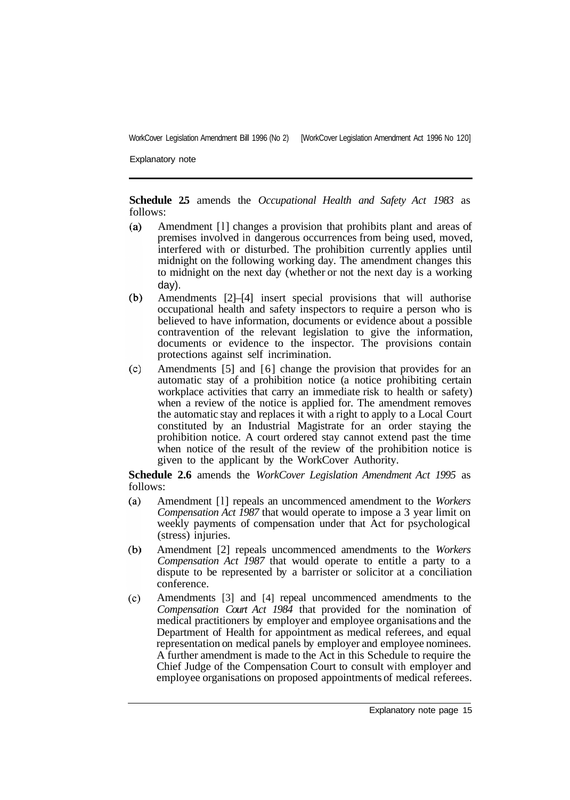Explanatory note

**Schedule 2.5** amends the *Occupational Health and Safety Act 1983* as follows:

- $(a)$ Amendment [l] changes a provision that prohibits plant and areas of premises involved in dangerous occurrences from being used, moved, interfered with or disturbed. The prohibition currently applies until midnight on the following working day. The amendment changes this to midnight on the next day (whether or not the next day is a working day).
- $(b)$ Amendments [2]–[4] insert special provisions that will authorise occupational health and safety inspectors to require a person who is believed to have information, documents or evidence about a possible contravention of the relevant legislation to give the information, documents or evidence to the inspector. The provisions contain protections against self incrimination.
- Amendments [5] and [6] change the provision that provides for an  $(c)$ automatic stay of a prohibition notice (a notice prohibiting certain workplace activities that carry an immediate risk to health or safety) when a review of the notice is applied for. The amendment removes the automatic stay and replaces it with a right to apply to a Local Court constituted by an Industrial Magistrate for an order staying the prohibition notice. A court ordered stay cannot extend past the time when notice of the result of the review of the prohibition notice is given to the applicant by the WorkCover Authority.

**Schedule 2.6** amends the *WorkCover Legislation Amendment Act 1995* as follows:

- Amendment [l] repeals an uncommenced amendment to the *Workers*   $(a)$ *Compensation Act 1987* that would operate to impose a 3 year limit on weekly payments of compensation under that Act for psychological (stress) injuries.
- $(b)$ Amendment [2] repeals uncommenced amendments to the *Workers Compensation Act 1987* that would operate to entitle a party to a dispute to be represented by a barrister or solicitor at a conciliation conference.
- Amendments [3] and [4] repeal uncommenced amendments to the  $(c)$ *Compensation Court Act 1984* that provided for the nomination of medical practitioners by employer and employee organisations and the Department of Health for appointment as medical referees, and equal representation on medical panels by employer and employee nominees. A further amendment is made to the Act in this Schedule to require the Chief Judge of the Compensation Court to consult with employer and employee organisations on proposed appointments of medical referees.